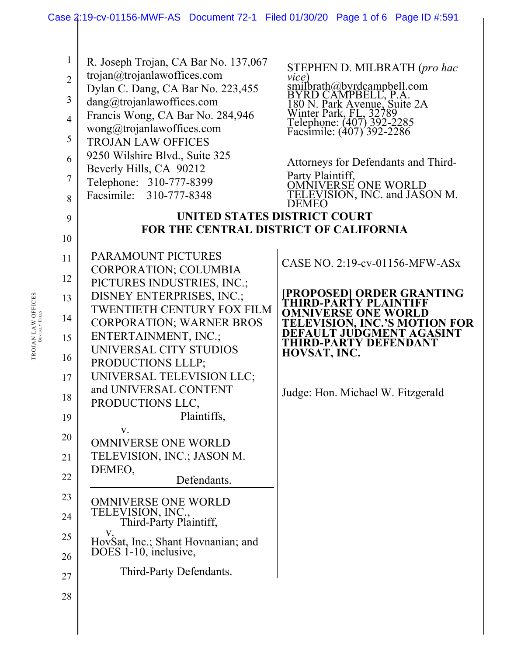## Case 2:19-cv-01156-MWF-AS Document 72-1 Filed 01/30/20 Page 1 of 6 Page ID #:591

| $\mathbf{1}$<br>$\overline{2}$<br>3<br>$\overline{4}$<br>5<br>6<br>7<br>8<br>9 | R. Joseph Trojan, CA Bar No. 137,067<br>trojan@trojanlawoffices.com<br>Dylan C. Dang, CA Bar No. 223,455<br>dang@trojanlawoffices.com<br>Francis Wong, CA Bar No. 284,946<br>wong@trojanlawoffices.com<br><b>TROJAN LAW OFFICES</b><br>9250 Wilshire Blvd., Suite 325<br>Beverly Hills, CA 90212<br>Telephone: 310-777-8399<br>Facsimile: 310-777-8348<br>UNITED STATES DISTRICT COURT | STEPHEN D. MILBRATH (pro hac<br>vice)<br>smilbrath@byrdcampbell.com<br>BYRD CAMPBELL, P.A.<br>180 N. Park Avenue, Suite 2A<br>Winter Park, FL, 32789<br>Telephone: (407) 392-2285<br>Facsimile: (407) 392-2286<br>Attorneys for Defendants and Third-<br>Party Plaintiff,<br>OMNIVERSE ONE WORLD<br>TELEVISION, INC. and JASON M.<br>DEMEO |
|--------------------------------------------------------------------------------|----------------------------------------------------------------------------------------------------------------------------------------------------------------------------------------------------------------------------------------------------------------------------------------------------------------------------------------------------------------------------------------|--------------------------------------------------------------------------------------------------------------------------------------------------------------------------------------------------------------------------------------------------------------------------------------------------------------------------------------------|
|                                                                                |                                                                                                                                                                                                                                                                                                                                                                                        |                                                                                                                                                                                                                                                                                                                                            |
| 10                                                                             | FOR THE CENTRAL DISTRICT OF CALIFORNIA                                                                                                                                                                                                                                                                                                                                                 |                                                                                                                                                                                                                                                                                                                                            |
| 11                                                                             | PARAMOUNT PICTURES<br>CORPORATION; COLUMBIA                                                                                                                                                                                                                                                                                                                                            | CASE NO. 2:19-cv-01156-MFW-ASx                                                                                                                                                                                                                                                                                                             |
| 12                                                                             | PICTURES INDUSTRIES, INC.;                                                                                                                                                                                                                                                                                                                                                             |                                                                                                                                                                                                                                                                                                                                            |
| 13                                                                             | DISNEY ENTERPRISES, INC.;                                                                                                                                                                                                                                                                                                                                                              | PROPOSED  ORDER GRANTING<br>THIRD-PARTY PLAINTIFF                                                                                                                                                                                                                                                                                          |
|                                                                                | <b>TWENTIETH CENTURY FOX FILM</b>                                                                                                                                                                                                                                                                                                                                                      | <b>OMNIVERSE ONE WORLD</b>                                                                                                                                                                                                                                                                                                                 |
| 14                                                                             | <b>CORPORATION; WARNER BROS</b>                                                                                                                                                                                                                                                                                                                                                        | <b>TELEVISION, INC.'S MOTION FOR</b>                                                                                                                                                                                                                                                                                                       |
| 15                                                                             | ENTERTAINMENT, INC.;                                                                                                                                                                                                                                                                                                                                                                   | DEFAULT JUDGMENT AGASINT                                                                                                                                                                                                                                                                                                                   |
|                                                                                | UNIVERSAL CITY STUDIOS                                                                                                                                                                                                                                                                                                                                                                 | <b>THIRD-PARTY DEFENDANT</b><br>HOVSAT, INC.                                                                                                                                                                                                                                                                                               |
| 16                                                                             | PRODUCTIONS LLLP;                                                                                                                                                                                                                                                                                                                                                                      |                                                                                                                                                                                                                                                                                                                                            |
| 17                                                                             | UNIVERSAL TELEVISION LLC;                                                                                                                                                                                                                                                                                                                                                              |                                                                                                                                                                                                                                                                                                                                            |
|                                                                                | and UNIVERSAL CONTENT                                                                                                                                                                                                                                                                                                                                                                  |                                                                                                                                                                                                                                                                                                                                            |
| 18                                                                             | PRODUCTIONS LLC,                                                                                                                                                                                                                                                                                                                                                                       | Judge: Hon. Michael W. Fitzgerald                                                                                                                                                                                                                                                                                                          |
| 19                                                                             | Plaintiffs,                                                                                                                                                                                                                                                                                                                                                                            |                                                                                                                                                                                                                                                                                                                                            |
|                                                                                | V.                                                                                                                                                                                                                                                                                                                                                                                     |                                                                                                                                                                                                                                                                                                                                            |
| 20                                                                             | <b>OMNIVERSE ONE WORLD</b>                                                                                                                                                                                                                                                                                                                                                             |                                                                                                                                                                                                                                                                                                                                            |
| 21                                                                             | TELEVISION, INC.; JASON M.                                                                                                                                                                                                                                                                                                                                                             |                                                                                                                                                                                                                                                                                                                                            |
|                                                                                | DEMEO,                                                                                                                                                                                                                                                                                                                                                                                 |                                                                                                                                                                                                                                                                                                                                            |
| 22                                                                             | Defendants.                                                                                                                                                                                                                                                                                                                                                                            |                                                                                                                                                                                                                                                                                                                                            |
| 23                                                                             | <b>OMNIVERSE ONE WORLD</b>                                                                                                                                                                                                                                                                                                                                                             |                                                                                                                                                                                                                                                                                                                                            |
| 24                                                                             | TELEVISION, INC.,<br>Third-Party Plaintiff,                                                                                                                                                                                                                                                                                                                                            |                                                                                                                                                                                                                                                                                                                                            |
| 25                                                                             | V.                                                                                                                                                                                                                                                                                                                                                                                     |                                                                                                                                                                                                                                                                                                                                            |
| 26                                                                             | HovSat, Inc.; Shant Hovnanian; and<br>DOES 1-10, inclusive,                                                                                                                                                                                                                                                                                                                            |                                                                                                                                                                                                                                                                                                                                            |
| 27                                                                             | Third-Party Defendants.                                                                                                                                                                                                                                                                                                                                                                |                                                                                                                                                                                                                                                                                                                                            |
| 28                                                                             |                                                                                                                                                                                                                                                                                                                                                                                        |                                                                                                                                                                                                                                                                                                                                            |

 ${\bf TROIAN}\,\text{LAW}\,\text{OFFICES}\atop \text{Bevenv}\,\text{Hills}$ TROJAN LAW OFFICES BEVERLY HILLS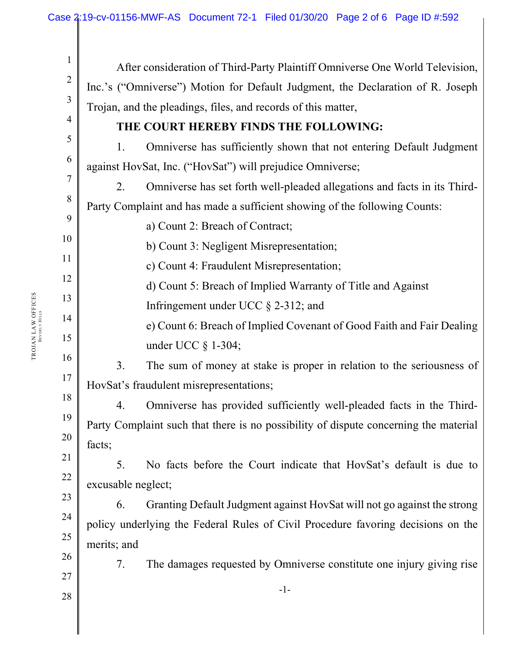| After consideration of Third-Party Plaintiff Omniverse One World Television,     |                                                                                      |  |
|----------------------------------------------------------------------------------|--------------------------------------------------------------------------------------|--|
| Inc.'s ("Omniverse") Motion for Default Judgment, the Declaration of R. Joseph   |                                                                                      |  |
| Trojan, and the pleadings, files, and records of this matter,                    |                                                                                      |  |
| THE COURT HEREBY FINDS THE FOLLOWING:                                            |                                                                                      |  |
| 1.                                                                               | Omniverse has sufficiently shown that not entering Default Judgment                  |  |
|                                                                                  | against HovSat, Inc. ("HovSat") will prejudice Omniverse;                            |  |
| 2.                                                                               | Omniverse has set forth well-pleaded allegations and facts in its Third-             |  |
| Party Complaint and has made a sufficient showing of the following Counts:       |                                                                                      |  |
|                                                                                  | a) Count 2: Breach of Contract;                                                      |  |
|                                                                                  | b) Count 3: Negligent Misrepresentation;                                             |  |
|                                                                                  | c) Count 4: Fraudulent Misrepresentation;                                            |  |
|                                                                                  | d) Count 5: Breach of Implied Warranty of Title and Against                          |  |
|                                                                                  | Infringement under UCC $\S$ 2-312; and                                               |  |
|                                                                                  | e) Count 6: Breach of Implied Covenant of Good Faith and Fair Dealing                |  |
|                                                                                  | under UCC $\S$ 1-304;                                                                |  |
| 3.                                                                               | The sum of money at stake is proper in relation to the seriousness of                |  |
|                                                                                  | HovSat's fraudulent misrepresentations;                                              |  |
| 4.                                                                               | Omniverse has provided sufficiently well-pleaded facts in the Third-                 |  |
|                                                                                  | Party Complaint such that there is no possibility of dispute concerning the material |  |
| facts;                                                                           |                                                                                      |  |
| 5.                                                                               | No facts before the Court indicate that HovSat's default is due to                   |  |
| excusable neglect;                                                               |                                                                                      |  |
| 6.                                                                               | Granting Default Judgment against HovSat will not go against the strong              |  |
| policy underlying the Federal Rules of Civil Procedure favoring decisions on the |                                                                                      |  |
| merits; and                                                                      |                                                                                      |  |
| 7.                                                                               | The damages requested by Omniverse constitute one injury giving rise                 |  |
|                                                                                  | $-1-$                                                                                |  |
|                                                                                  |                                                                                      |  |
|                                                                                  |                                                                                      |  |
|                                                                                  |                                                                                      |  |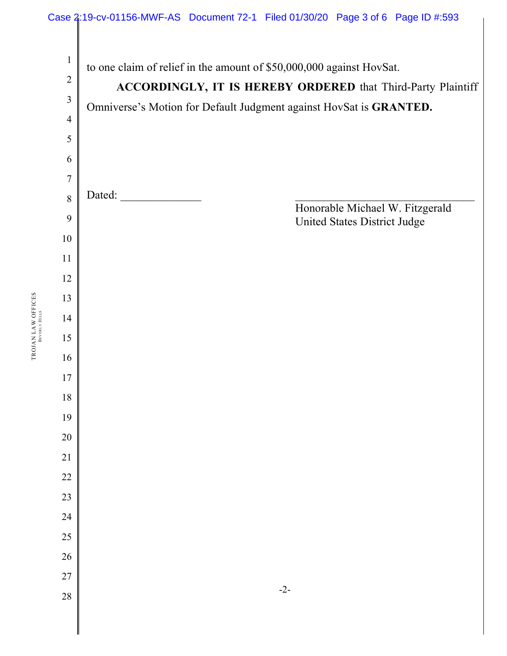

TROJAN LAW OFFICES TROJAN LAW OFFICES BEVERLY HILLS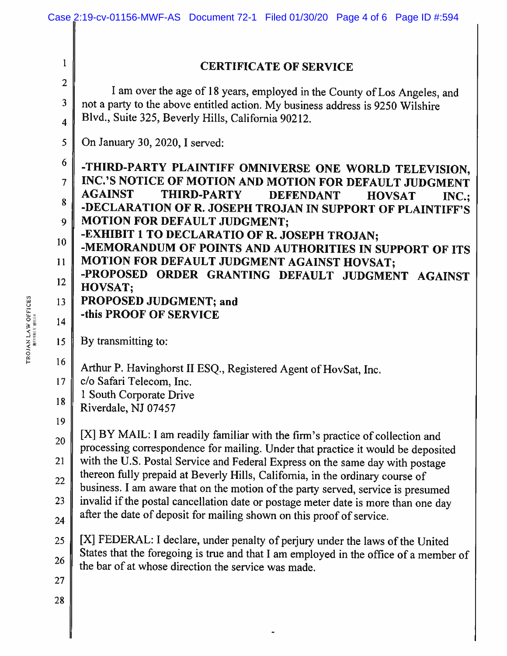|                         | Case 2:19-cv-01156-MWF-AS Document 72-1 Filed 01/30/20 Page 4 of 6 Page ID #:594                                                                                  |
|-------------------------|-------------------------------------------------------------------------------------------------------------------------------------------------------------------|
|                         |                                                                                                                                                                   |
| $\mathbf{1}$            | <b>CERTIFICATE OF SERVICE</b>                                                                                                                                     |
| $\overline{2}$          | I am over the age of 18 years, employed in the County of Los Angeles, and                                                                                         |
| $\mathbf{3}$            | not a party to the above entitled action. My business address is 9250 Wilshire                                                                                    |
| $\overline{\mathbf{4}}$ | Blvd., Suite 325, Beverly Hills, California 90212.                                                                                                                |
| 5                       | On January 30, 2020, I served:                                                                                                                                    |
| 6                       | -THIRD-PARTY PLAINTIFF OMNIVERSE ONE WORLD TELEVISION,                                                                                                            |
| 7                       | INC.'S NOTICE OF MOTION AND MOTION FOR DEFAULT JUDGMENT                                                                                                           |
| 8                       | <b>AGAINST</b><br>THIRD-PARTY<br><b>DEFENDANT</b><br><b>HOVSAT</b><br>$INC$ .                                                                                     |
| 9                       | -DECLARATION OF R. JOSEPH TROJAN IN SUPPORT OF PLAINTIFF'S<br><b>MOTION FOR DEFAULT JUDGMENT;</b>                                                                 |
| 10                      | -EXHIBIT 1 TO DECLARATIO OF R. JOSEPH TROJAN;<br>-MEMORANDUM OF POINTS AND AUTHORITIES IN SUPPORT OF ITS                                                          |
| 11                      | MOTION FOR DEFAULT JUDGMENT AGAINST HOVSAT;<br>-PROPOSED ORDER GRANTING DEFAULT JUDGMENT AGAINST                                                                  |
| 12                      | HOVSAT;                                                                                                                                                           |
| 13                      | PROPOSED JUDGMENT; and                                                                                                                                            |
| 14                      | -this PROOF OF SERVICE                                                                                                                                            |
| 15                      | By transmitting to:                                                                                                                                               |
| 16                      | Arthur P. Havinghorst II ESQ., Registered Agent of HovSat, Inc.                                                                                                   |
| 17                      | c/o Safari Telecom. Inc                                                                                                                                           |
| 18                      | 1 South Corporate Drive<br>Riverdale, NJ 07457                                                                                                                    |
| 19                      |                                                                                                                                                                   |
| 20                      | [X] BY MAIL: I am readily familiar with the firm's practice of collection and<br>processing correspondence for mailing. Under that practice it would be deposited |
| 21                      | with the U.S. Postal Service and Federal Express on the same day with postage                                                                                     |
| 22                      | thereon fully prepaid at Beverly Hills, California, in the ordinary course of<br>business. I am aware that on the motion of the party served, service is presumed |
| 23                      | invalid if the postal cancellation date or postage meter date is more than one day                                                                                |
| 24                      | after the date of deposit for mailing shown on this proof of service.                                                                                             |
| 25                      | [X] FEDERAL: I declare, under penalty of perjury under the laws of the United                                                                                     |
| 26                      | States that the foregoing is true and that I am employed in the office of a member of<br>the bar of at whose direction the service was made.                      |
| 27                      |                                                                                                                                                                   |
| 28                      |                                                                                                                                                                   |
|                         |                                                                                                                                                                   |
|                         |                                                                                                                                                                   |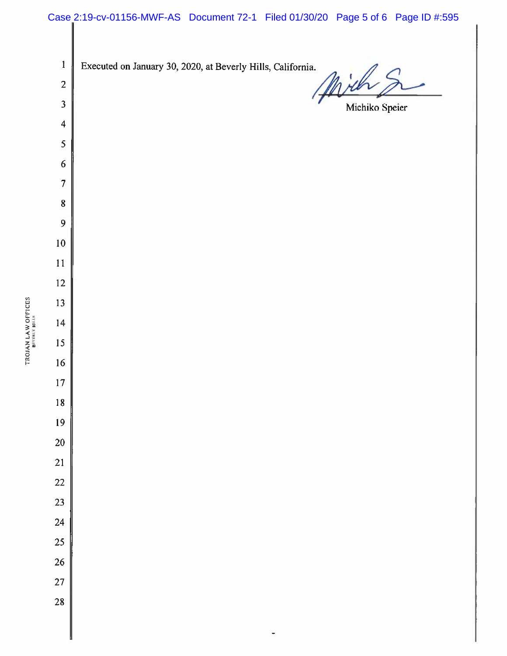## Case 2:19-cv-01156-MWF-AS Document 72-1 Filed 01/30/20 Page 5 of 6 Page ID #:595

 $\mathbf{1}$ Executed on January 30, 2020, at Beverly Hills, California. ia.<br>Mich  $\overline{2}$  $\mathfrak{Z}$ Michiko Speier  $\overline{\mathbf{4}}$ 5  $\boldsymbol{6}$  $\overline{7}$  $\pmb{8}$  $\overline{9}$  $10\,$  $11$  $12 \,$ 13  $14$ 15 16 17 18 19 20 21 22 23 24 25 26 27 28